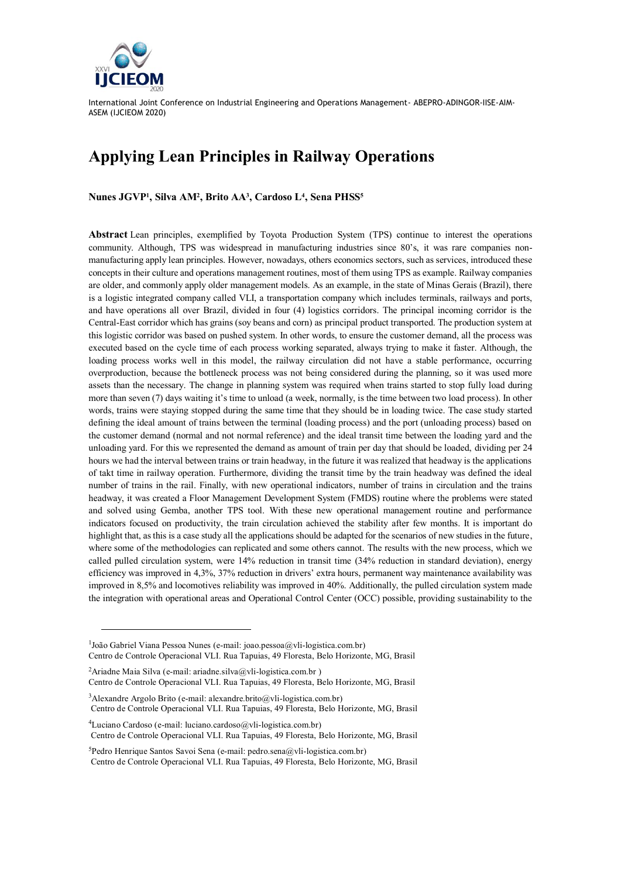

l

International Joint Conference on Industrial Engineering and Operations Management- ABEPRO-ADINGOR-IISE-AIM-ASEM (IJCIEOM 2020)

## **Applying Lean Principles in Railway Operations**

**Nunes JGVP<sup>1</sup> , Silva AM<sup>2</sup> , Brito AA<sup>3</sup> , Cardoso L<sup>4</sup> , Sena PHSS<sup>5</sup>**

**Abstract** Lean principles, exemplified by Toyota Production System (TPS) continue to interest the operations community. Although, TPS was widespread in manufacturing industries since 80's, it was rare companies nonmanufacturing apply lean principles. However, nowadays, others economics sectors, such as services, introduced these concepts in their culture and operations management routines, most of them using TPS as example. Railway companies are older, and commonly apply older management models. As an example, in the state of Minas Gerais (Brazil), there is a logistic integrated company called VLI, a transportation company which includes terminals, railways and ports, and have operations all over Brazil, divided in four (4) logistics corridors. The principal incoming corridor is the Central-East corridor which has grains (soy beans and corn) as principal product transported. The production system at this logistic corridor was based on pushed system. In other words, to ensure the customer demand, all the process was executed based on the cycle time of each process working separated, always trying to make it faster. Although, the loading process works well in this model, the railway circulation did not have a stable performance, occurring overproduction, because the bottleneck process was not being considered during the planning, so it was used more assets than the necessary. The change in planning system was required when trains started to stop fully load during more than seven (7) days waiting it's time to unload (a week, normally, is the time between two load process). In other words, trains were staying stopped during the same time that they should be in loading twice. The case study started defining the ideal amount of trains between the terminal (loading process) and the port (unloading process) based on the customer demand (normal and not normal reference) and the ideal transit time between the loading yard and the unloading yard. For this we represented the demand as amount of train per day that should be loaded, dividing per 24 hours we had the interval between trains or train headway, in the future it was realized that headway is the applications of takt time in railway operation. Furthermore, dividing the transit time by the train headway was defined the ideal number of trains in the rail. Finally, with new operational indicators, number of trains in circulation and the trains headway, it was created a Floor Management Development System (FMDS) routine where the problems were stated and solved using Gemba, another TPS tool. With these new operational management routine and performance indicators focused on productivity, the train circulation achieved the stability after few months. It is important do highlight that, as this is a case study all the applications should be adapted for the scenarios of new studies in the future, where some of the methodologies can replicated and some others cannot. The results with the new process, which we called pulled circulation system, were 14% reduction in transit time (34% reduction in standard deviation), energy efficiency was improved in 4,3%, 37% reduction in drivers' extra hours, permanent way maintenance availability was improved in 8,5% and locomotives reliability was improved in 40%. Additionally, the pulled circulation system made the integration with operational areas and Operational Control Center (OCC) possible, providing sustainability to the

<sup>&</sup>lt;sup>1</sup>João Gabriel Viana Pessoa Nunes (e-mail: joao.pessoa@vli-logistica.com.br) Centro de Controle Operacional VLI. Rua Tapuias, 49 Floresta, Belo Horizonte, MG, Brasil

<sup>&</sup>lt;sup>2</sup>Ariadne Maia Silva (e-mail: ariadne.silva@vli-logistica.com.br) Centro de Controle Operacional VLI. Rua Tapuias, 49 Floresta, Belo Horizonte, MG, Brasil

<sup>&</sup>lt;sup>3</sup>Alexandre Argolo Brito (e-mail: alexandre.brito@vli-logistica.com.br) Centro de Controle Operacional VLI. Rua Tapuias, 49 Floresta, Belo Horizonte, MG, Brasil

<sup>4</sup>Luciano Cardoso (e-mail: luciano.cardoso@vli-logistica.com.br) Centro de Controle Operacional VLI. Rua Tapuias, 49 Floresta, Belo Horizonte, MG, Brasil

 ${}^{5}$ Pedro Henrique Santos Savoi Sena (e-mail: pedro.sena@vli-logistica.com.br) Centro de Controle Operacional VLI. Rua Tapuias, 49 Floresta, Belo Horizonte, MG, Brasil